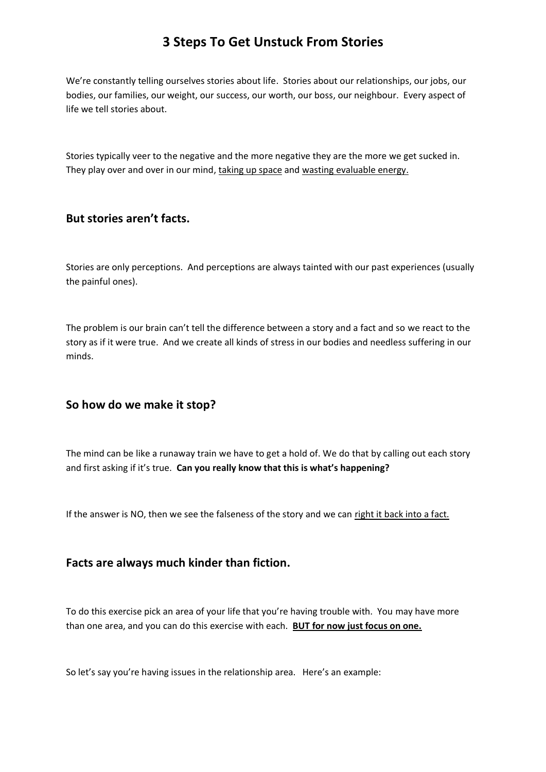We're constantly telling ourselves stories about life. Stories about our relationships, our jobs, our bodies, our families, our weight, our success, our worth, our boss, our neighbour. Every aspect of life we tell stories about.

Stories typically veer to the negative and the more negative they are the more we get sucked in. They play over and over in our mind, taking up space and wasting evaluable energy.

### **But stories aren't facts.**

Stories are only perceptions. And perceptions are always tainted with our past experiences (usually the painful ones).

The problem is our brain can't tell the difference between a story and a fact and so we react to the story as if it were true. And we create all kinds of stress in our bodies and needless suffering in our minds.

#### **So how do we make it stop?**

The mind can be like a runaway train we have to get a hold of. We do that by calling out each story and first asking if it's true. **Can you really know that this is what's happening?**

If the answer is NO, then we see the falseness of the story and we can right it back into a fact.

#### **Facts are always much kinder than fiction.**

To do this exercise pick an area of your life that you're having trouble with. You may have more than one area, and you can do this exercise with each. **BUT for now just focus on one.**

So let's say you're having issues in the relationship area. Here's an example: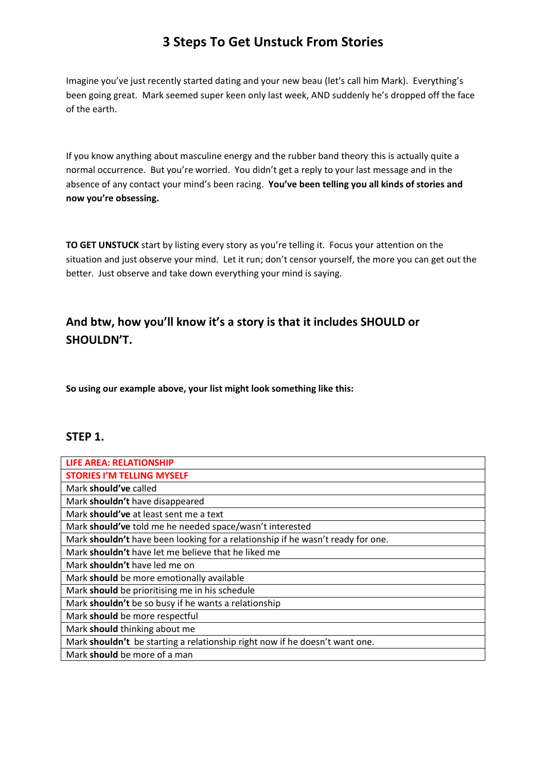Imagine you've just recently started dating and your new beau (let's call him Mark). Everything's been going great. Mark seemed super keen only last week, AND suddenly he's dropped off the face of the earth.

If you know anything about masculine energy and the rubber band theory this is actually quite a normal occurrence. But you're worried. You didn't get a reply to your last message and in the absence of any contact your mind's been racing. **You've been telling you all kinds of stories and now you're obsessing.** 

**TO GET UNSTUCK** start by listing every story as you're telling it. Focus your attention on the situation and just observe your mind. Let it run; don't censor yourself, the more you can get out the better. Just observe and take down everything your mind is saying.

## **And btw, how you'll know it's a story is that it includes SHOULD or SHOULDN'T.**

**So using our example above, your list might look something like this:**

### **STEP 1.**

| LIFE AREA: RELATIONSHIP                                                         |
|---------------------------------------------------------------------------------|
| <b>STORIES I'M TELLING MYSELF</b>                                               |
| Mark should've called                                                           |
| Mark shouldn't have disappeared                                                 |
| Mark should've at least sent me a text                                          |
| Mark should've told me he needed space/wasn't interested                        |
| Mark shouldn't have been looking for a relationship if he wasn't ready for one. |
| Mark shouldn't have let me believe that he liked me                             |
| Mark shouldn't have led me on                                                   |
| Mark should be more emotionally available                                       |
| Mark should be prioritising me in his schedule                                  |
| Mark shouldn't be so busy if he wants a relationship                            |
| Mark should be more respectful                                                  |
| Mark should thinking about me                                                   |
| Mark shouldn't be starting a relationship right now if he doesn't want one.     |
| Mark should be more of a man                                                    |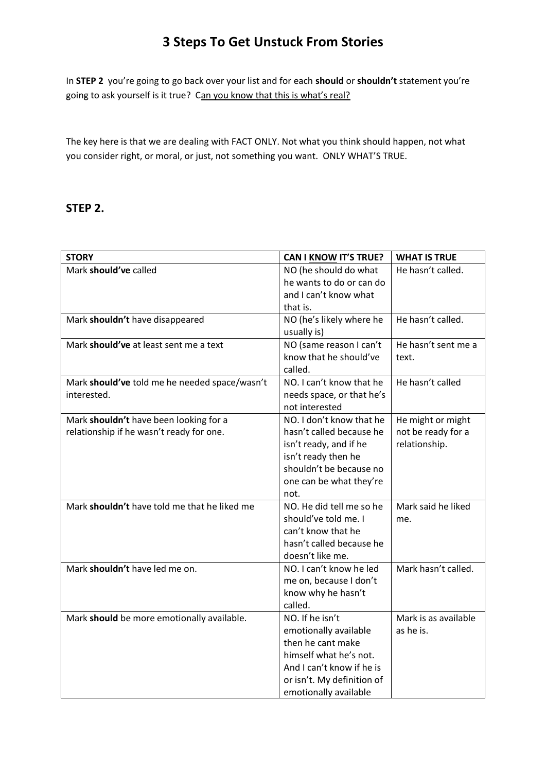In **STEP 2** you're going to go back over your list and for each **should** or **shouldn't** statement you're going to ask yourself is it true? Can you know that this is what's real?

The key here is that we are dealing with FACT ONLY. Not what you think should happen, not what you consider right, or moral, or just, not something you want. ONLY WHAT'S TRUE.

#### **STEP 2.**

| <b>STORY</b>                                  | <b>CAN I KNOW IT'S TRUE?</b> | <b>WHAT IS TRUE</b>  |
|-----------------------------------------------|------------------------------|----------------------|
| Mark should've called                         | NO (he should do what        | He hasn't called.    |
|                                               | he wants to do or can do     |                      |
|                                               | and I can't know what        |                      |
|                                               | that is.                     |                      |
| Mark shouldn't have disappeared               | NO (he's likely where he     | He hasn't called.    |
|                                               | usually is)                  |                      |
| Mark should've at least sent me a text        | NO (same reason I can't      | He hasn't sent me a  |
|                                               | know that he should've       | text.                |
|                                               | called.                      |                      |
| Mark should've told me he needed space/wasn't | NO. I can't know that he     | He hasn't called     |
| interested.                                   | needs space, or that he's    |                      |
|                                               | not interested               |                      |
| Mark shouldn't have been looking for a        | NO. I don't know that he     | He might or might    |
| relationship if he wasn't ready for one.      | hasn't called because he     | not be ready for a   |
|                                               | isn't ready, and if he       | relationship.        |
|                                               | isn't ready then he          |                      |
|                                               | shouldn't be because no      |                      |
|                                               | one can be what they're      |                      |
|                                               | not.                         |                      |
| Mark shouldn't have told me that he liked me  | NO. He did tell me so he     | Mark said he liked   |
|                                               | should've told me. I         | me.                  |
|                                               | can't know that he           |                      |
|                                               | hasn't called because he     |                      |
|                                               | doesn't like me.             |                      |
| Mark shouldn't have led me on.                | NO. I can't know he led      | Mark hasn't called.  |
|                                               | me on, because I don't       |                      |
|                                               | know why he hasn't           |                      |
|                                               | called.                      |                      |
| Mark should be more emotionally available.    | NO. If he isn't              | Mark is as available |
|                                               | emotionally available        | as he is.            |
|                                               | then he cant make            |                      |
|                                               | himself what he's not.       |                      |
|                                               | And I can't know if he is    |                      |
|                                               | or isn't. My definition of   |                      |
|                                               | emotionally available        |                      |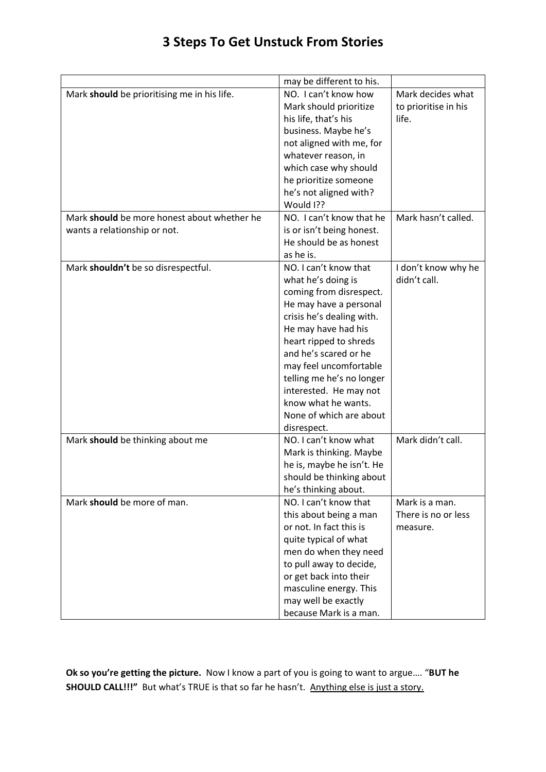|                                             | may be different to his.  |                      |
|---------------------------------------------|---------------------------|----------------------|
| Mark should be prioritising me in his life. | NO. I can't know how      | Mark decides what    |
|                                             | Mark should prioritize    | to prioritise in his |
|                                             | his life, that's his      | life.                |
|                                             | business. Maybe he's      |                      |
|                                             | not aligned with me, for  |                      |
|                                             | whatever reason, in       |                      |
|                                             | which case why should     |                      |
|                                             | he prioritize someone     |                      |
|                                             | he's not aligned with?    |                      |
|                                             | Would I??                 |                      |
| Mark should be more honest about whether he | NO. I can't know that he  | Mark hasn't called.  |
| wants a relationship or not.                | is or isn't being honest. |                      |
|                                             | He should be as honest    |                      |
|                                             | as he is.                 |                      |
| Mark shouldn't be so disrespectful.         | NO. I can't know that     | I don't know why he  |
|                                             | what he's doing is        | didn't call.         |
|                                             | coming from disrespect.   |                      |
|                                             | He may have a personal    |                      |
|                                             | crisis he's dealing with. |                      |
|                                             | He may have had his       |                      |
|                                             | heart ripped to shreds    |                      |
|                                             | and he's scared or he     |                      |
|                                             | may feel uncomfortable    |                      |
|                                             | telling me he's no longer |                      |
|                                             | interested. He may not    |                      |
|                                             | know what he wants.       |                      |
|                                             | None of which are about   |                      |
|                                             | disrespect.               |                      |
| Mark should be thinking about me            | NO. I can't know what     | Mark didn't call.    |
|                                             | Mark is thinking. Maybe   |                      |
|                                             | he is, maybe he isn't. He |                      |
|                                             | should be thinking about  |                      |
|                                             | he's thinking about.      |                      |
| Mark should be more of man.                 | NO. I can't know that     | Mark is a man.       |
|                                             | this about being a man    | There is no or less  |
|                                             | or not. In fact this is   | measure.             |
|                                             | quite typical of what     |                      |
|                                             |                           |                      |
|                                             | men do when they need     |                      |
|                                             | to pull away to decide,   |                      |
|                                             | or get back into their    |                      |
|                                             | masculine energy. This    |                      |
|                                             | may well be exactly       |                      |
|                                             | because Mark is a man.    |                      |

**Ok so you're getting the picture.** Now I know a part of you is going to want to argue…. "**BUT he SHOULD CALL!!!"** But what's TRUE is that so far he hasn't. Anything else is just a story.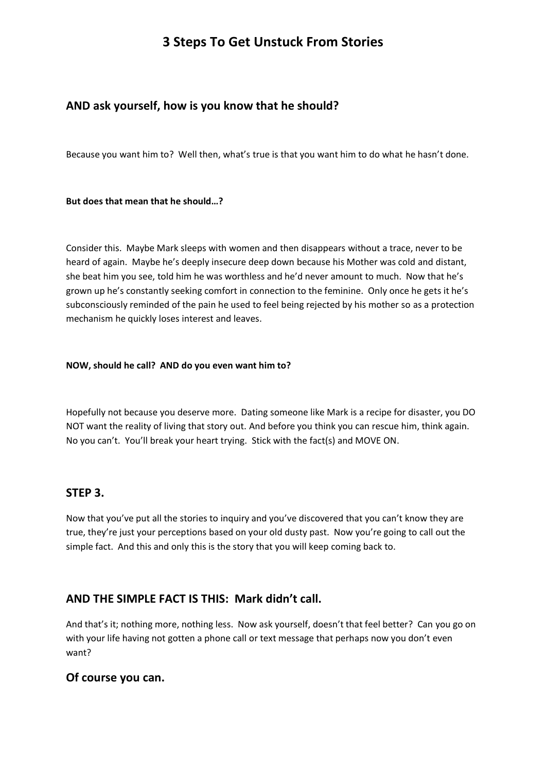## **AND ask yourself, how is you know that he should?**

Because you want him to? Well then, what's true is that you want him to do what he hasn't done.

#### **But does that mean that he should…?**

Consider this. Maybe Mark sleeps with women and then disappears without a trace, never to be heard of again. Maybe he's deeply insecure deep down because his Mother was cold and distant, she beat him you see, told him he was worthless and he'd never amount to much. Now that he's grown up he's constantly seeking comfort in connection to the feminine. Only once he gets it he's subconsciously reminded of the pain he used to feel being rejected by his mother so as a protection mechanism he quickly loses interest and leaves.

#### **NOW, should he call? AND do you even want him to?**

Hopefully not because you deserve more. Dating someone like Mark is a recipe for disaster, you DO NOT want the reality of living that story out. And before you think you can rescue him, think again. No you can't. You'll break your heart trying. Stick with the fact(s) and MOVE ON.

### **STEP 3.**

Now that you've put all the stories to inquiry and you've discovered that you can't know they are true, they're just your perceptions based on your old dusty past. Now you're going to call out the simple fact. And this and only this is the story that you will keep coming back to.

## **AND THE SIMPLE FACT IS THIS: Mark didn't call.**

And that's it; nothing more, nothing less. Now ask yourself, doesn't that feel better? Can you go on with your life having not gotten a phone call or text message that perhaps now you don't even want?

### **Of course you can.**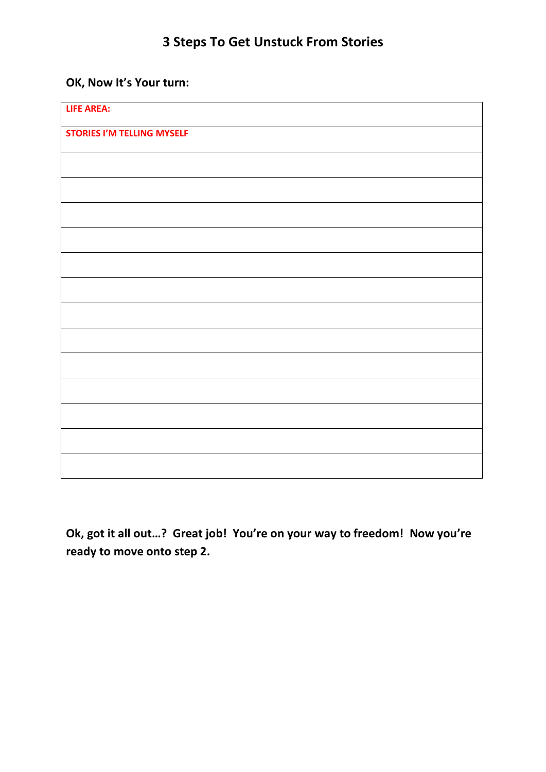# **OK, Now It's Your turn:**

| <b>LIFE AREA:</b>                 |  |
|-----------------------------------|--|
| <b>STORIES I'M TELLING MYSELF</b> |  |
|                                   |  |
|                                   |  |
|                                   |  |
|                                   |  |
|                                   |  |
|                                   |  |
|                                   |  |
|                                   |  |
|                                   |  |
|                                   |  |
|                                   |  |
|                                   |  |
|                                   |  |

**Ok, got it all out…? Great job! You're on your way to freedom! Now you're ready to move onto step 2.**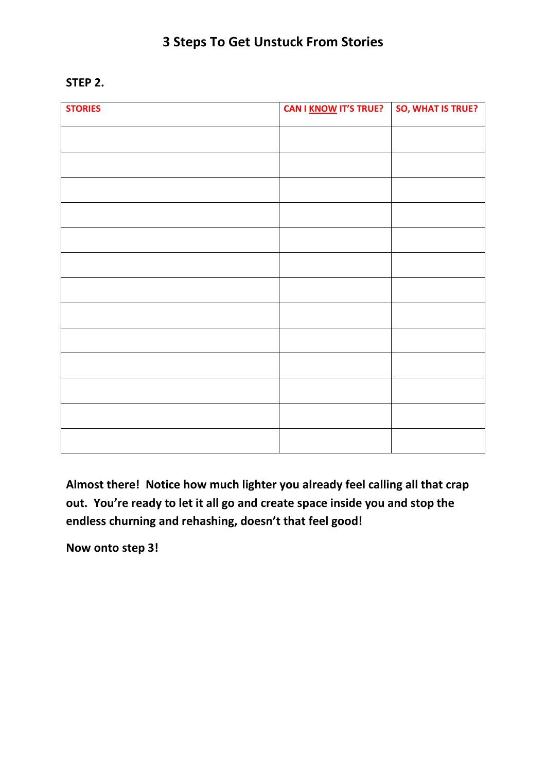## **STEP 2.**

| <b>STORIES</b> | <b>CAN I KNOW IT'S TRUE?</b> | SO, WHAT IS TRUE? |
|----------------|------------------------------|-------------------|
|                |                              |                   |
|                |                              |                   |
|                |                              |                   |
|                |                              |                   |
|                |                              |                   |
|                |                              |                   |
|                |                              |                   |
|                |                              |                   |
|                |                              |                   |
|                |                              |                   |
|                |                              |                   |
|                |                              |                   |
|                |                              |                   |

**Almost there! Notice how much lighter you already feel calling all that crap out. You're ready to let it all go and create space inside you and stop the endless churning and rehashing, doesn't that feel good!**

**Now onto step 3!**